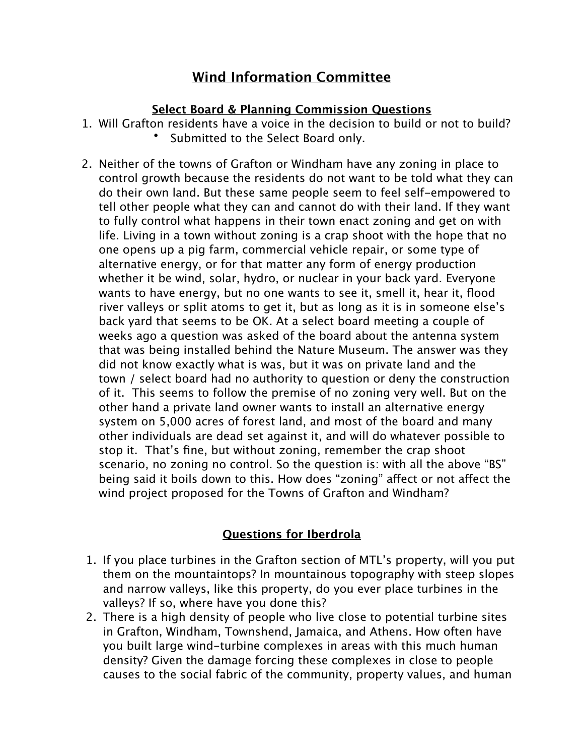# **Wind Information Committee**

### **Select Board & Planning Commission Questions**

- 1. Will Grafton residents have a voice in the decision to build or not to build? Submitted to the Select Board only.
- 2. Neither of the towns of Grafton or Windham have any zoning in place to control growth because the residents do not want to be told what they can do their own land. But these same people seem to feel self-empowered to tell other people what they can and cannot do with their land. If they want to fully control what happens in their town enact zoning and get on with life. Living in a town without zoning is a crap shoot with the hope that no one opens up a pig farm, commercial vehicle repair, or some type of alternative energy, or for that matter any form of energy production whether it be wind, solar, hydro, or nuclear in your back yard. Everyone wants to have energy, but no one wants to see it, smell it, hear it, flood river valleys or split atoms to get it, but as long as it is in someone else's back yard that seems to be OK. At a select board meeting a couple of weeks ago a question was asked of the board about the antenna system that was being installed behind the Nature Museum. The answer was they did not know exactly what is was, but it was on private land and the town / select board had no authority to question or deny the construction of it. This seems to follow the premise of no zoning very well. But on the other hand a private land owner wants to install an alternative energy system on 5,000 acres of forest land, and most of the board and many other individuals are dead set against it, and will do whatever possible to stop it. That's fine, but without zoning, remember the crap shoot scenario, no zoning no control. So the question is: with all the above "BS" being said it boils down to this. How does "zoning" affect or not affect the wind project proposed for the Towns of Grafton and Windham?

# **Questions for Iberdrola**

- 1. If you place turbines in the Grafton section of MTL's property, will you put them on the mountaintops? In mountainous topography with steep slopes and narrow valleys, like this property, do you ever place turbines in the valleys? If so, where have you done this?
- 2. There is a high density of people who live close to potential turbine sites in Grafton, Windham, Townshend, Jamaica, and Athens. How often have you built large wind-turbine complexes in areas with this much human density? Given the damage forcing these complexes in close to people causes to the social fabric of the community, property values, and human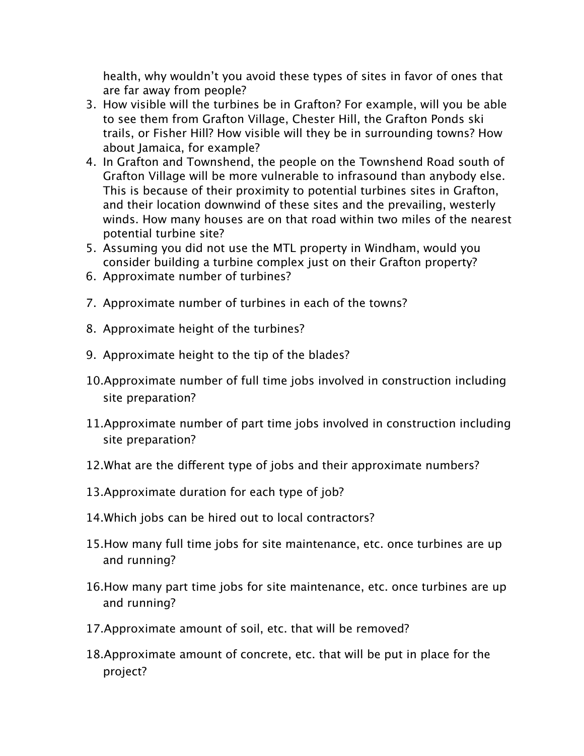health, why wouldn't you avoid these types of sites in favor of ones that are far away from people?

- 3. How visible will the turbines be in Grafton? For example, will you be able to see them from Grafton Village, Chester Hill, the Grafton Ponds ski trails, or Fisher Hill? How visible will they be in surrounding towns? How about Jamaica, for example?
- 4. In Grafton and Townshend, the people on the Townshend Road south of Grafton Village will be more vulnerable to infrasound than anybody else. This is because of their proximity to potential turbines sites in Grafton, and their location downwind of these sites and the prevailing, westerly winds. How many houses are on that road within two miles of the nearest potential turbine site?
- 5. Assuming you did not use the MTL property in Windham, would you consider building a turbine complex just on their Grafton property?
- 6. Approximate number of turbines?
- 7. Approximate number of turbines in each of the towns?
- 8. Approximate height of the turbines?
- 9. Approximate height to the tip of the blades?
- 10.Approximate number of full time jobs involved in construction including site preparation?
- 11.Approximate number of part time jobs involved in construction including site preparation?
- 12. What are the different type of jobs and their approximate numbers?
- 13.Approximate duration for each type of job?
- 14.Which jobs can be hired out to local contractors?
- 15.How many full time jobs for site maintenance, etc. once turbines are up and running?
- 16.How many part time jobs for site maintenance, etc. once turbines are up and running?
- 17.Approximate amount of soil, etc. that will be removed?
- 18.Approximate amount of concrete, etc. that will be put in place for the project?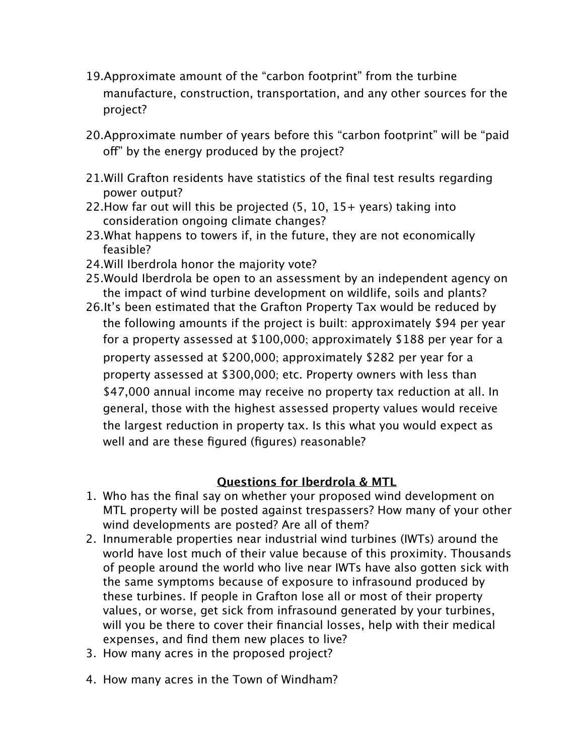- 19.Approximate amount of the "carbon footprint" from the turbine manufacture, construction, transportation, and any other sources for the project?
- 20.Approximate number of years before this "carbon footprint" will be "paid off" by the energy produced by the project?
- 21.Will Grafton residents have statistics of the final test results regarding power output?
- 22.How far out will this be projected (5, 10, 15+ years) taking into consideration ongoing climate changes?
- 23.What happens to towers if, in the future, they are not economically feasible?
- 24.Will Iberdrola honor the majority vote?
- 25.Would Iberdrola be open to an assessment by an independent agency on the impact of wind turbine development on wildlife, soils and plants?
- 26.It's been estimated that the Grafton Property Tax would be reduced by the following amounts if the project is built: approximately \$94 per year for a property assessed at \$100,000; approximately \$188 per year for a property assessed at \$200,000; approximately \$282 per year for a property assessed at \$300,000; etc. Property owners with less than \$47,000 annual income may receive no property tax reduction at all. In general, those with the highest assessed property values would receive the largest reduction in property tax. Is this what you would expect as well and are these figured (figures) reasonable?

### **Questions for Iberdrola & MTL**

- 1. Who has the final say on whether your proposed wind development on MTL property will be posted against trespassers? How many of your other wind developments are posted? Are all of them?
- 2. Innumerable properties near industrial wind turbines (IWTs) around the world have lost much of their value because of this proximity. Thousands of people around the world who live near IWTs have also gotten sick with the same symptoms because of exposure to infrasound produced by these turbines. If people in Grafton lose all or most of their property values, or worse, get sick from infrasound generated by your turbines, will you be there to cover their financial losses, help with their medical expenses, and find them new places to live?
- 3. How many acres in the proposed project?
- 4. How many acres in the Town of Windham?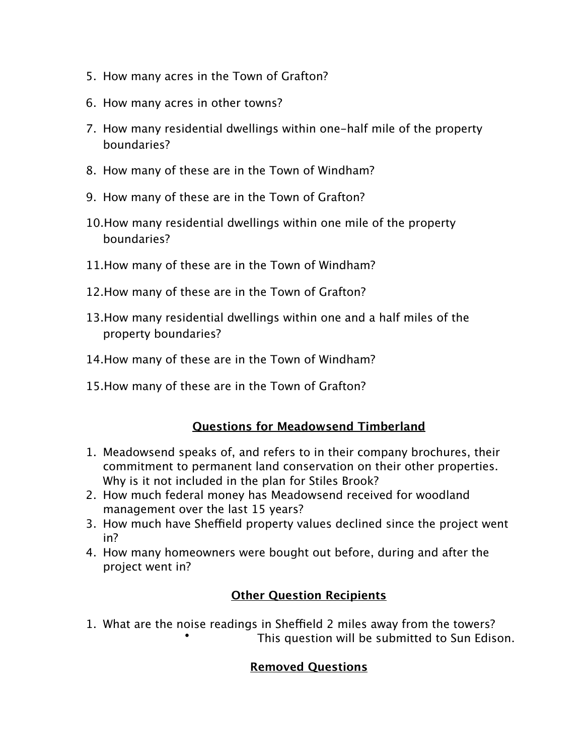- 5. How many acres in the Town of Grafton?
- 6. How many acres in other towns?
- 7. How many residential dwellings within one-half mile of the property boundaries?
- 8. How many of these are in the Town of Windham?
- 9. How many of these are in the Town of Grafton?
- 10.How many residential dwellings within one mile of the property boundaries?
- 11.How many of these are in the Town of Windham?
- 12.How many of these are in the Town of Grafton?
- 13.How many residential dwellings within one and a half miles of the property boundaries?
- 14.How many of these are in the Town of Windham?
- 15.How many of these are in the Town of Grafton?

### **Questions for Meadowsend Timberland**

- 1. Meadowsend speaks of, and refers to in their company brochures, their commitment to permanent land conservation on their other properties. Why is it not included in the plan for Stiles Brook?
- 2. How much federal money has Meadowsend received for woodland management over the last 15 years?
- 3. How much have Sheffield property values declined since the project went in?
- 4. How many homeowners were bought out before, during and after the project went in?

# **Other Question Recipients**

1. What are the noise readings in Sheffield 2 miles away from the towers? This question will be submitted to Sun Edison.

### **Removed Questions**